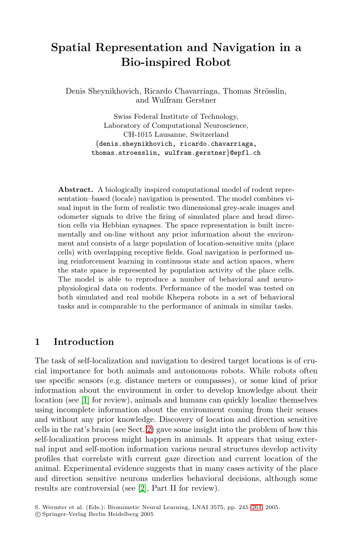# **Spatial Representation and Navigation in a Bio-inspired Robot**

Denis Sheynikhovich, Ricardo Chavarriaga, Thomas Strösslin, and Wulfram Gerstner

> Swiss Federal Institute of Technology, Laboratory of Computational Neuroscience, CH-1015 Lausanne, Switzerland *{*denis.sheynikhovich, ricardo.chavarriaga, thomas.stroesslin, wulfram.gerstner*}*@epfl.ch

**Abstract.** A biologically inspired computational model of rodent representation–based (locale) navigation is presented. The model combines visual input in the form of realistic two dimensional grey-scale images and odometer signals to drive the firing of simulated place and head direction cells via Hebbian synapses. The space representation is built incrementally and on-line without any prior information about the environment and consists of a large population of location-sensitive units (place cells) with overlapping receptive fields. Goal navigation is performed using reinforcement learning in continuous state and action spaces, where the state space is represented by population activity of the place cells. The model is able to reproduce a number of behavioral and neurophysiological data on rodents. Performance of the model was tested on both simulated and real mobile Khepera robots in a set of behavioral tasks and is comparable to the performance of animals in similar tasks.

### **1 Introduction**

The task of self-localization and navigation to desired target locations is of crucial importance for both animals and autonomous robots. While robots often use specific sensors (e.g. distance meters or compasses), or some kind of prior information about the environment in order to develop knowledge about their location (see [\[1\]](#page-17-0) for review), animals and humans can quickly localize themselves using incomplete information about the environment coming from their senses and without any prior knowledge. Discovery of location and direction sensitive cells in the rat's brain (see Sect. [2\)](#page-1-0) gave some insight into the problem of how this self-localization process might happen in animals. It appears that using external input and self-motion information various neural structures develop activity profiles that correlate with current gaze direction and current location of the animal. Experimental evidence suggests that in many cases activity of the place and direction sensitive neurons underlies behavioral decisions, although some results are controversial (see [\[2\]](#page-17-1), Part II for review).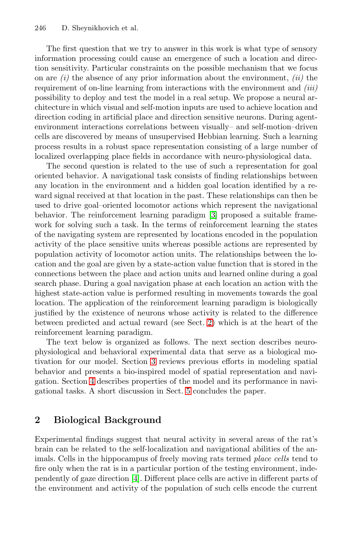The first question that we try to answer in this work is what type of sensory information processing could cause an emergence of such a location and direction sensitivity. Particular constraints on the possible mechanism that we focus on are *(i)* the absence of any prior information about the environment, *(ii)* the requirement of on-line learning from interactions with the environment and *(iii)* possibility to deploy and test the model in a real setup. We propose a neural architecture in which visual and self-motion inputs are used to achieve location and direction coding in artificial place and direction sensitive neurons. During agentenvironment interactions correlations between visually– and self-motion–driven cells are discovered by means of unsupervised Hebbian learning. Such a learning process results in a robust space representation consisting of a large number of localized overlapping place fields in accordance with neuro-physiological data.

The second question is related to the use of such a representation for goal oriented behavior. A navigational task consists of finding relationships between any location in the environment and a hidden goal location identified by a reward signal received at that location in the past. These relationships can then be used to drive goal–oriented locomotor actions which represent the navigational behavior. The reinforcement learning paradigm [\[3\]](#page-17-2) proposed a suitable framework for solving such a task. In the terms of reinforcement learning the states of the navigating system are represented by locations encoded in the population activity of the place sensitive units whereas possible actions are represented by population activity of locomotor action units. The relationships between the location and the goal are given by a state-action value function that is stored in the connections between the place and action units and learned online during a goal search phase. During a goal navigation phase at each location an action with the highest state-action value is performed resulting in movements towards the goal location. The application of the reinforcement learning paradigm is biologically justified by the existence of neurons whose activity is related to the difference between predicted and actual reward (see Sect. [2\)](#page-1-0) which is at the heart of the reinforcement learning paradigm.

The text below is organized as follows. The next section describes neurophysiological and behavioral experimental data that serve as a biological motivation for our model. Section [3](#page-3-0) reviews previous efforts in modeling spatial behavior and presents a bio-inspired model of spatial representation and navigation. Section [4](#page-12-0) describes properties of the model and its performance in navigational tasks. A short discussion in Sect. [5](#page-16-0) concludes the paper.

## <span id="page-1-0"></span>**2 Biological Background**

Experimental findings suggest that neural activity in several areas of the rat's brain can be related to the self-localization and navigational abilities of the animals. Cells in the hippocampus of freely moving rats termed *place cells* tend to fire only when the rat is in a particular portion of the testing environment, independently of gaze direction [\[4\]](#page-17-3). Different place cells are active in different parts of the environment and activity of the population of such cells encode the current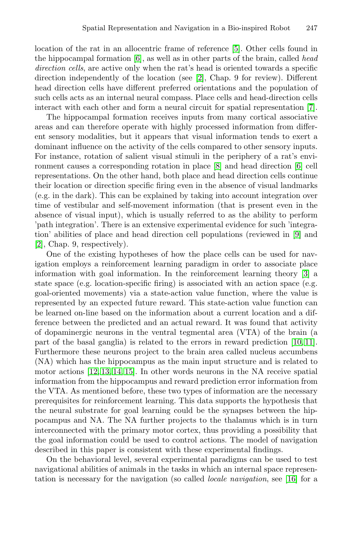location of the rat in an allocentric frame of reference [\[5\]](#page-17-4). Other cells found in the hippocampal formation [\[6\]](#page-17-5), as well as in other parts of the brain, called *head direction cells*, are active only when the rat's head is oriented towards a specific direction independently of the location (see [\[2\]](#page-17-1), Chap. 9 for review). Different head direction cells have different preferred orientations and the population of such cells acts as an internal neural compass. Place cells and head-direction cells interact with each other and form a neural circuit for spatial representation [\[7\]](#page-17-6).

The hippocampal formation receives inputs from many cortical associative areas and can therefore operate with highly processed information from different sensory modalities, but it appears that visual information tends to exert a dominant influence on the activity of the cells compared to other sensory inputs. For instance, rotation of salient visual stimuli in the periphery of a rat's environment causes a corresponding rotation in place [\[8\]](#page-17-7) and head direction [\[6\]](#page-17-5) cell representations. On the other hand, both place and head direction cells continue their location or direction specific firing even in the absence of visual landmarks (e.g. in the dark). This can be explained by taking into account integration over time of vestibular and self-movement information (that is present even in the absence of visual input), which is usually referred to as the ability to perform 'path integration'. There is an extensive experimental evidence for such 'integration' abilities of place and head direction cell populations (reviewed in [\[9\]](#page-17-8) and [\[2\]](#page-17-1), Chap. 9, respectively).

One of the existing hypotheses of how the place cells can be used for navigation employs a reinforcement learning paradigm in order to associate place information with goal information. In the reinforcement learning theory [\[3\]](#page-17-2) a state space (e.g. location-specific firing) is associated with an action space (e.g. goal-oriented movements) via a state-action value function, where the value is represented by an expected future reward. This state-action value function can be learned on-line based on the information about a current location and a difference between the predicted and an actual reward. It was found that activity of dopaminergic neurons in the ventral tegmental area (VTA) of the brain (a part of the basal ganglia) is related to the errors in reward prediction [\[10,](#page-17-9) [11\]](#page-17-10). Furthermore these neurons project to the brain area called nucleus accumbens (NA) which has the hippocampus as the main input structure and is related to motor actions [\[12,](#page-17-11) [13,](#page-17-12) [14,](#page-17-13) [15\]](#page-17-14). In other words neurons in the NA receive spatial information from the hippocampus and reward prediction error information from the VTA. As mentioned before, these two types of information are the necessary prerequisites for reinforcement learning. This data supports the hypothesis that the neural substrate for goal learning could be the synapses between the hippocampus and NA. The NA further projects to the thalamus which is in turn interconnected with the primary motor cortex, thus providing a possibility that the goal information could be used to control actions. The model of navigation described in this paper is consistent with these experimental findings.

On the behavioral level, several experimental paradigms can be used to test navigational abilities of animals in the tasks in which an internal space representation is necessary for the navigation (so called *locale navigation*, see [\[16\]](#page-17-15) for a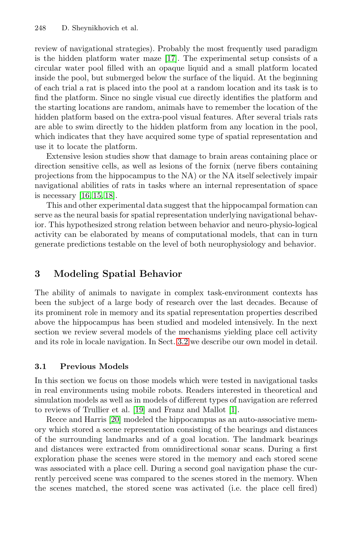review of navigational strategies). Probably the most frequently used paradigm is the hidden platform water maze [\[17\]](#page-17-16). The experimental setup consists of a circular water pool filled with an opaque liquid and a small platform located inside the pool, but submerged below the surface of the liquid. At the beginning of each trial a rat is placed into the pool at a random location and its task is to find the platform. Since no single visual cue directly identifies the platform and the starting locations are random, animals have to remember the location of the hidden platform based on the extra-pool visual features. After several trials rats are able to swim directly to the hidden platform from any location in the pool, which indicates that they have acquired some type of spatial representation and use it to locate the platform.

Extensive lesion studies show that damage to brain areas containing place or direction sensitive cells, as well as lesions of the fornix (nerve fibers containing projections from the hippocampus to the NA) or the NA itself selectively impair navigational abilities of rats in tasks where an internal representation of space is necessary [\[16,](#page-17-15) [15,](#page-17-14) [18\]](#page-17-17).

This and other experimental data suggest that the hippocampal formation can serve as the neural basis for spatial representation underlying navigational behavior. This hypothesized strong relation between behavior and neuro-physio-logical activity can be elaborated by means of computational models, that can in turn generate predictions testable on the level of both neurophysiology and behavior.

# <span id="page-3-0"></span>**3 Modeling Spatial Behavior**

The ability of animals to navigate in complex task-environment contexts has been the subject of a large body of research over the last decades. Because of its prominent role in memory and its spatial representation properties described above the hippocampus has been studied and modeled intensively. In the next section we review several models of the mechanisms yielding place cell activity and its role in locale navigation. In Sect. [3.2](#page-5-0) we describe our own model in detail.

## <span id="page-3-1"></span>**3.1 Previous Models**

In this section we focus on those models which were tested in navigational tasks in real environments using mobile robots. Readers interested in theoretical and simulation models as well as in models of different types of navigation are referred to reviews of Trullier et al. [\[19\]](#page-18-0) and Franz and Mallot [\[1\]](#page-17-0).

Recce and Harris [\[20\]](#page-18-1) modeled the hippocampus as an auto-associative memory which stored a scene representation consisting of the bearings and distances of the surrounding landmarks and of a goal location. The landmark bearings and distances were extracted from omnidirectional sonar scans. During a first exploration phase the scenes were stored in the memory and each stored scene was associated with a place cell. During a second goal navigation phase the currently perceived scene was compared to the scenes stored in the memory. When the scenes matched, the stored scene was activated (i.e. the place cell fired)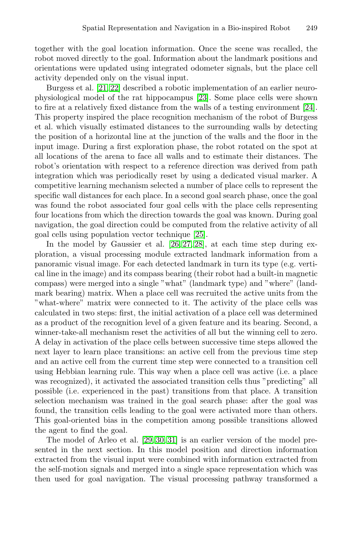together with the goal location information. Once the scene was recalled, the robot moved directly to the goal. Information about the landmark positions and orientations were updated using integrated odometer signals, but the place cell activity depended only on the visual input.

Burgess et al. [\[21,](#page-18-2) [22\]](#page-18-3) described a robotic implementation of an earlier neurophysiological model of the rat hippocampus [\[23\]](#page-18-4). Some place cells were shown to fire at a relatively fixed distance from the walls of a testing environment [\[24\]](#page-18-5). This property inspired the place recognition mechanism of the robot of Burgess et al. which visually estimated distances to the surrounding walls by detecting the position of a horizontal line at the junction of the walls and the floor in the input image. During a first exploration phase, the robot rotated on the spot at all locations of the arena to face all walls and to estimate their distances. The robot's orientation with respect to a reference direction was derived from path integration which was periodically reset by using a dedicated visual marker. A competitive learning mechanism selected a number of place cells to represent the specific wall distances for each place. In a second goal search phase, once the goal was found the robot associated four goal cells with the place cells representing four locations from which the direction towards the goal was known. During goal navigation, the goal direction could be computed from the relative activity of all goal cells using population vector technique [\[25\]](#page-18-6).

In the model by Gaussier et al. [\[26,](#page-18-7) [27,](#page-18-8) [28\]](#page-18-9), at each time step during exploration, a visual processing module extracted landmark information from a panoramic visual image. For each detected landmark in turn its type (e.g. vertical line in the image) and its compass bearing (their robot had a built-in magnetic compass) were merged into a single "what" (landmark type) and "where" (landmark bearing) matrix. When a place cell was recruited the active units from the "what-where" matrix were connected to it. The activity of the place cells was calculated in two steps: first, the initial activation of a place cell was determined as a product of the recognition level of a given feature and its bearing. Second, a winner-take-all mechanism reset the activities of all but the winning cell to zero. A delay in activation of the place cells between successive time steps allowed the next layer to learn place transitions: an active cell from the previous time step and an active cell from the current time step were connected to a transition cell using Hebbian learning rule. This way when a place cell was active (i.e. a place was recognized), it activated the associated transition cells thus "predicting" all possible (i.e. experienced in the past) transitions from that place. A transition selection mechanism was trained in the goal search phase: after the goal was found, the transition cells leading to the goal were activated more than others. This goal-oriented bias in the competition among possible transitions allowed the agent to find the goal.

The model of Arleo et al. [\[29,](#page-18-10) [30,](#page-18-11) [31\]](#page-18-12) is an earlier version of the model presented in the next section. In this model position and direction information extracted from the visual input were combined with information extracted from the self-motion signals and merged into a single space representation which was then used for goal navigation. The visual processing pathway transformed a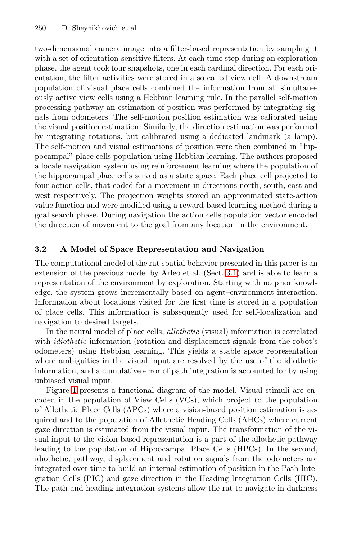two-dimensional camera image into a filter-based representation by sampling it with a set of orientation-sensitive filters. At each time step during an exploration phase, the agent took four snapshots, one in each cardinal direction. For each orientation, the filter activities were stored in a so called view cell. A downstream population of visual place cells combined the information from all simultaneously active view cells using a Hebbian learning rule. In the parallel self-motion processing pathway an estimation of position was performed by integrating signals from odometers. The self-motion position estimation was calibrated using the visual position estimation. Similarly, the direction estimation was performed by integrating rotations, but calibrated using a dedicated landmark (a lamp). The self-motion and visual estimations of position were then combined in "hippocampal" place cells population using Hebbian learning. The authors proposed a locale navigation system using reinforcement learning where the population of the hippocampal place cells served as a state space. Each place cell projected to four action cells, that coded for a movement in directions north, south, east and west respectively. The projection weights stored an approximated state-action value function and were modified using a reward-based learning method during a goal search phase. During navigation the action cells population vector encoded the direction of movement to the goal from any location in the environment.

### <span id="page-5-0"></span>**3.2 A Model of Space Representation and Navigation**

The computational model of the rat spatial behavior presented in this paper is an extension of the previous model by Arleo et al. (Sect. [3.1\)](#page-3-1) and is able to learn a representation of the environment by exploration. Starting with no prior knowledge, the system grows incrementally based on agent–environment interaction. Information about locations visited for the first time is stored in a population of place cells. This information is subsequently used for self-localization and navigation to desired targets.

In the neural model of place cells, *allothetic* (visual) information is correlated with *idiothetic* information (rotation and displacement signals from the robot's odometers) using Hebbian learning. This yields a stable space representation where ambiguities in the visual input are resolved by the use of the idiothetic information, and a cumulative error of path integration is accounted for by using unbiased visual input.

Figure [1](#page-6-0) presents a functional diagram of the model. Visual stimuli are encoded in the population of View Cells (VCs), which project to the population of Allothetic Place Cells (APCs) where a vision-based position estimation is acquired and to the population of Allothetic Heading Cells (AHCs) where current gaze direction is estimated from the visual input. The transformation of the visual input to the vision-based representation is a part of the allothetic pathway leading to the population of Hippocampal Place Cells (HPCs). In the second, idiothetic, pathway, displacement and rotation signals from the odometers are integrated over time to build an internal estimation of position in the Path Integration Cells (PIC) and gaze direction in the Heading Integration Cells (HIC). The path and heading integration systems allow the rat to navigate in darkness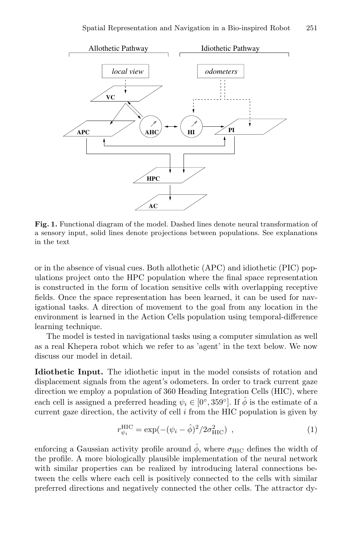

<span id="page-6-0"></span>**Fig. 1.** Functional diagram of the model. Dashed lines denote neural transformation of a sensory input, solid lines denote projections between populations. See explanations in the text

or in the absence of visual cues. Both allothetic (APC) and idiothetic (PIC) populations project onto the HPC population where the final space representation is constructed in the form of location sensitive cells with overlapping receptive fields. Once the space representation has been learned, it can be used for navigational tasks. A direction of movement to the goal from any location in the environment is learned in the Action Cells population using temporal-difference learning technique.

The model is tested in navigational tasks using a computer simulation as well as a real Khepera robot which we refer to as 'agent' in the text below. We now discuss our model in detail.

**Idiothetic Input.** The idiothetic input in the model consists of rotation and displacement signals from the agent's odometers. In order to track current gaze direction we employ a population of 360 Heading Integration Cells (HIC), where each cell is assigned a preferred heading  $\psi_i \in [0^\circ, 359^\circ]$ . If  $\hat{\phi}$  is the estimate of a current gaze direction, the activity of cell  $i$  from the HIC population is given by

$$
r_{\psi_i}^{\text{HIC}} = \exp(-(\psi_i - \hat{\phi})^2 / 2\sigma_{\text{HIC}}^2) , \qquad (1)
$$

<span id="page-6-1"></span>enforcing a Gaussian activity profile around  $\phi$ , where  $\sigma_{\text{HIC}}$  defines the width of the profile. A more biologically plausible implementation of the neural network with similar properties can be realized by introducing lateral connections between the cells where each cell is positively connected to the cells with similar preferred directions and negatively connected the other cells. The attractor dy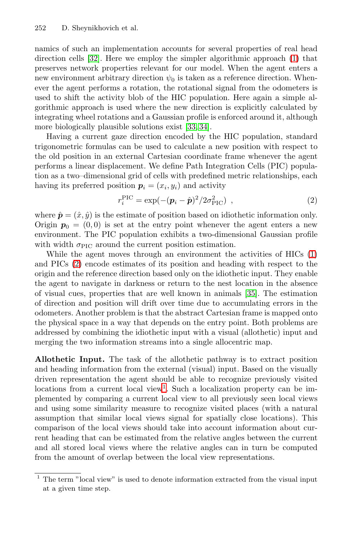namics of such an implementation accounts for several properties of real head direction cells [\[32\]](#page-18-13). Here we employ the simpler algorithmic approach [\(1\)](#page-6-1) that preserves network properties relevant for our model. When the agent enters a new environment arbitrary direction  $\psi_0$  is taken as a reference direction. Whenever the agent performs a rotation, the rotational signal from the odometers is used to shift the activity blob of the HIC population. Here again a simple algorithmic approach is used where the new direction is explicitly calculated by integrating wheel rotations and a Gaussian profile is enforced around it, although more biologically plausible solutions exist [\[33,](#page-18-14) [34\]](#page-18-15).

Having a current gaze direction encoded by the HIC population, standard trigonometric formulas can be used to calculate a new position with respect to the old position in an external Cartesian coordinate frame whenever the agent performs a linear displacement. We define Path Integration Cells (PIC) population as a two–dimensional grid of cells with predefined metric relationships, each having its preferred position  $p_i = (x_i, y_i)$  and activity

$$
r_i^{\text{PIC}} = \exp(-(p_i - \hat{p})^2 / 2\sigma_{\text{PIC}}^2) , \qquad (2)
$$

<span id="page-7-0"></span>where  $\hat{\boldsymbol{p}} = (\hat{x}, \hat{y})$  is the estimate of position based on idiothetic information only. Origin  $p_0 = (0, 0)$  is set at the entry point whenever the agent enters a new environment. The PIC population exhibits a two-dimensional Gaussian profile with width  $\sigma_{\text{PIC}}$  around the current position estimation.

While the agent moves through an environment the activities of  $HICs$  [\(1\)](#page-6-1) and PICs [\(2\)](#page-7-0) encode estimates of its position and heading with respect to the origin and the reference direction based only on the idiothetic input. They enable the agent to navigate in darkness or return to the nest location in the absence of visual cues, properties that are well known in animals [\[35\]](#page-18-16). The estimation of direction and position will drift over time due to accumulating errors in the odometers. Another problem is that the abstract Cartesian frame is mapped onto the physical space in a way that depends on the entry point. Both problems are addressed by combining the idiothetic input with a visual (allothetic) input and merging the two information streams into a single allocentric map.

**Allothetic Input.** The task of the allothetic pathway is to extract position and heading information from the external (visual) input. Based on the visually driven representation the agent should be able to recognize previously visited locations from a current local view<sup>[1](#page-7-1)</sup>. Such a localization property can be implemented by comparing a current local view to all previously seen local views and using some similarity measure to recognize visited places (with a natural assumption that similar local views signal for spatially close locations). This comparison of the local views should take into account information about current heading that can be estimated from the relative angles between the current and all stored local views where the relative angles can in turn be computed from the amount of overlap between the local view representations.

<span id="page-7-1"></span><sup>&</sup>lt;sup>1</sup> The term "local view" is used to denote information extracted from the visual input at a given time step.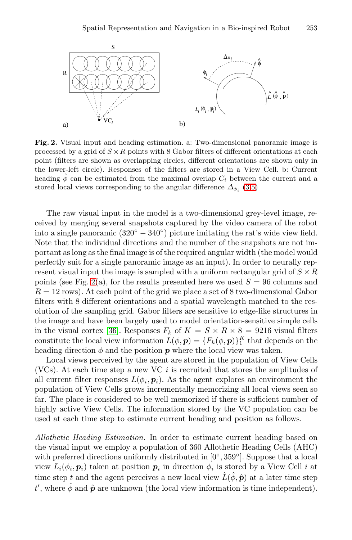

<span id="page-8-0"></span>**Fig. 2.** Visual input and heading estimation. a: Two-dimensional panoramic image is processed by a grid of S *×*R points with 8 Gabor filters of different orientations at each point (filters are shown as overlapping circles, different orientations are shown only in the lower-left circle). Responses of the filters are stored in a View Cell. b: Current heading  $\phi$  can be estimated from the maximal overlap  $C_i$  between the current and a stored local views corresponding to the angular difference  $\Delta_{\phi_i}$  [\(3,](#page-9-0)[5\)](#page-9-1)

The raw visual input in the model is a two-dimensional grey-level image, received by merging several snapshots captured by the video camera of the robot into a single panoramic  $(320° - 340°)$  picture imitating the rat's wide view field. Note that the individual directions and the number of the snapshots are not important as long as the final image is of the required angular width (the model would perfectly suit for a single panoramic image as an input). In order to neurally represent visual input the image is sampled with a uniform rectangular grid of  $S \times R$ points (see Fig. [2\(](#page-8-0)a), for the results presented here we used  $S = 96$  columns and  $R = 12$  rows). At each point of the grid we place a set of 8 two-dimensional Gabor filters with 8 different orientations and a spatial wavelength matched to the resolution of the sampling grid. Gabor filters are sensitive to edge-like structures in the image and have been largely used to model orientation-sensitive simple cells in the visual cortex [\[36\]](#page-18-17). Responses  $F_k$  of  $K = S \times R \times 8 = 9216$  visual filters constitute the local view information  $L(\phi, \mathbf{p}) = \{F_k(\phi, \mathbf{p})\}_1^K$  that depends on the heading direction  $\phi$  and the position  $p$  where the local view was taken.

Local views perceived by the agent are stored in the population of View Cells (VCs). At each time step a new VC  $i$  is recruited that stores the amplitudes of all current filter responses  $L(\phi_i, \mathbf{p}_i)$ . As the agent explores an environment the population of View Cells grows incrementally memorizing all local views seen so far. The place is considered to be well memorized if there is sufficient number of highly active View Cells. The information stored by the VC population can be used at each time step to estimate current heading and position as follows.

*Allothetic Heading Estimation.* In order to estimate current heading based on the visual input we employ a population of 360 Allothetic Heading Cells (AHC) with preferred directions uniformly distributed in [0◦, 359◦]. Suppose that a local view  $L_i(\phi_i, \mathbf{p}_i)$  taken at position  $\mathbf{p}_i$  in direction  $\phi_i$  is stored by a View Cell i at time step t and the agent perceives a new local view  $\hat{L}(\hat{\phi}, \hat{\mathbf{p}})$  at a later time step  $t'$ , where  $\hat{\phi}$  and  $\hat{\mathbf{p}}$  are unknown (the local view information is time independent).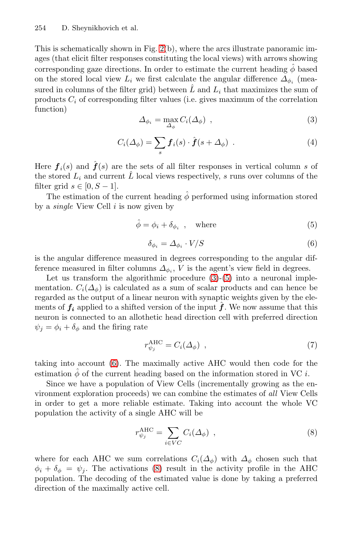This is schematically shown in Fig. [2\(](#page-8-0)b), where the arcs illustrate panoramic images (that elicit filter responses constituting the local views) with arrows showing corresponding gaze directions. In order to estimate the current heading  $\phi$  based on the stored local view  $L_i$  we first calculate the angular difference  $\Delta_{\phi_i}$  (measured in columns of the filter grid) between  $\hat{L}$  and  $L_i$  that maximizes the sum of products  $C_i$  of corresponding filter values (i.e. gives maximum of the correlation function)

$$
\Delta_{\phi_i} = \max_{\Delta_{\phi}} C_i(\Delta_{\phi}) \tag{3}
$$

<span id="page-9-0"></span>
$$
C_i(\Delta_{\phi}) = \sum_s \boldsymbol{f}_i(s) \cdot \hat{\boldsymbol{f}}(s + \Delta_{\phi}) \tag{4}
$$

<span id="page-9-4"></span>Here  $f_i(s)$  and  $\hat{f}(s)$  are the sets of all filter responses in vertical column s of the stored  $L_i$  and current  $\hat{L}$  local views respectively, s runs over columns of the filter grid  $s \in [0, S-1]$ .

<span id="page-9-1"></span>The estimation of the current heading  $\hat{\phi}$  performed using information stored by a *single* View Cell i is now given by

<span id="page-9-2"></span>
$$
\hat{\phi} = \phi_i + \delta_{\phi_i} \quad \text{where} \tag{5}
$$

$$
\delta_{\phi_i} = \Delta_{\phi_i} \cdot V/S \tag{6}
$$

is the angular difference measured in degrees corresponding to the angular difference measured in filter columns  $\Delta_{\phi_i}$ , V is the agent's view field in degrees.

Let us transform the algorithmic procedure  $(3)-(5)$  $(3)-(5)$  $(3)-(5)$  into a neuronal implementation.  $C_i(\Delta_{\phi})$  is calculated as a sum of scalar products and can hence be regarded as the output of a linear neuron with synaptic weights given by the elements of  $f_i$  applied to a shifted version of the input  $\hat{f}$ . We now assume that this neuron is connected to an allothetic head direction cell with preferred direction  $\psi_i = \phi_i + \delta_\phi$  and the firing rate

$$
r_{\psi_j}^{\text{AHC}} = C_i(\Delta_\phi) \tag{7}
$$

taking into account [\(6\)](#page-9-2). The maximally active AHC would then code for the estimation  $\phi$  of the current heading based on the information stored in VC *i*.

Since we have a population of View Cells (incrementally growing as the environment exploration proceeds) we can combine the estimates of *all* View Cells in order to get a more reliable estimate. Taking into account the whole VC population the activity of a single AHC will be

$$
r_{\psi_j}^{\text{AHC}} = \sum_{i \in VC} C_i(\Delta_\phi) \tag{8}
$$

<span id="page-9-3"></span>where for each AHC we sum correlations  $C_i(\Delta_{\phi})$  with  $\Delta_{\phi}$  chosen such that  $\phi_i + \delta_\phi = \psi_i$ . The activations [\(8\)](#page-9-3) result in the activity profile in the AHC population. The decoding of the estimated value is done by taking a preferred direction of the maximally active cell.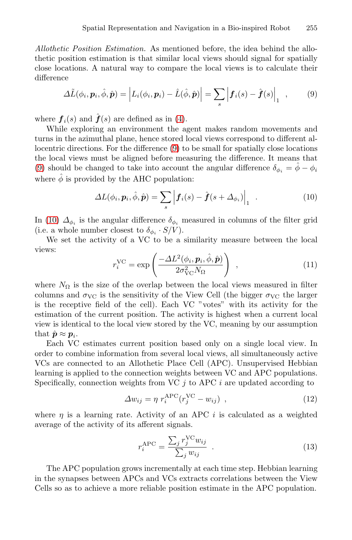*Allothetic Position Estimation.* As mentioned before, the idea behind the allothetic position estimation is that similar local views should signal for spatially close locations. A natural way to compare the local views is to calculate their difference

$$
\Delta \tilde{L}(\phi_i, \mathbf{p}_i, \hat{\phi}, \hat{\mathbf{p}}) = \left| L_i(\phi_i, \mathbf{p}_i) - \hat{L}(\hat{\phi}, \hat{\mathbf{p}}) \right| = \sum_s \left| \mathbf{f}_i(s) - \hat{\mathbf{f}}(s) \right|_1 ,\qquad(9)
$$

<span id="page-10-0"></span>where  $f_i(s)$  and  $\hat{f}(s)$  are defined as in [\(4\)](#page-9-4).

While exploring an environment the agent makes random movements and turns in the azimuthal plane, hence stored local views correspond to different allocentric directions. For the difference [\(9\)](#page-10-0) to be small for spatially close locations the local views must be aligned before measuring the difference. It means that [\(9\)](#page-10-0) should be changed to take into account the angular difference  $\delta_{\phi_i} = \phi - \phi_i$ where  $\hat{\phi}$  is provided by the AHC population:

$$
\Delta L(\phi_i, \mathbf{p}_i, \hat{\phi}, \hat{\mathbf{p}}) = \sum_s \left| \mathbf{f}_i(s) - \hat{\mathbf{f}}(s + \Delta_{\phi_i}) \right|_1 \tag{10}
$$

<span id="page-10-1"></span>In [\(10\)](#page-10-1)  $\Delta_{\phi_i}$  is the angular difference  $\delta_{\phi_i}$  measured in columns of the filter grid (i.e. a whole number closest to  $\delta_{\phi_i} \cdot S/V$ ).

We set the activity of a VC to be a similarity measure between the local views:

$$
r_i^{\text{VC}} = \exp\left(\frac{-\Delta L^2(\phi_i, \mathbf{p}_i, \hat{\phi}, \hat{\mathbf{p}})}{2\sigma_{\text{VC}}^2 N_{\Omega}}\right) ,\qquad (11)
$$

where  $N_{\Omega}$  is the size of the overlap between the local views measured in filter columns and  $\sigma_{\text{VC}}$  is the sensitivity of the View Cell (the bigger  $\sigma_{\text{VC}}$  the larger is the receptive field of the cell). Each VC "votes" with its activity for the estimation of the current position. The activity is highest when a current local view is identical to the local view stored by the VC, meaning by our assumption that  $\hat{\boldsymbol{p}} \approx \boldsymbol{p}_i$ .

Each VC estimates current position based only on a single local view. In order to combine information from several local views, all simultaneously active VCs are connected to an Allothetic Place Cell (APC). Unsupervised Hebbian learning is applied to the connection weights between VC and APC populations. Specifically, connection weights from VC  $j$  to APC  $i$  are updated according to

$$
\Delta w_{ij} = \eta r_i^{\text{APC}} (r_j^{\text{VC}} - w_{ij}) \tag{12}
$$

<span id="page-10-3"></span>where  $\eta$  is a learning rate. Activity of an APC i is calculated as a weighted average of the activity of its afferent signals.

$$
r_i^{\text{APC}} = \frac{\sum_j r_j^{\text{VC}} w_{ij}}{\sum_j w_{ij}} \tag{13}
$$

<span id="page-10-2"></span>The APC population grows incrementally at each time step. Hebbian learning in the synapses between APCs and VCs extracts correlations between the View Cells so as to achieve a more reliable position estimate in the APC population.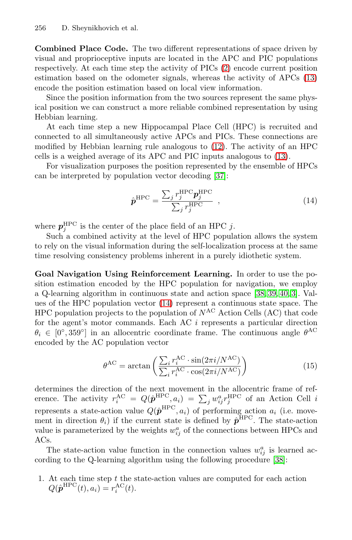**Combined Place Code.** The two different representations of space driven by visual and proprioceptive inputs are located in the APC and PIC populations respectively. At each time step the activity of PICs [\(2\)](#page-7-0) encode current position estimation based on the odometer signals, whereas the activity of APCs [\(13\)](#page-10-2) encode the position estimation based on local view information.

Since the position information from the two sources represent the same physical position we can construct a more reliable combined representation by using Hebbian learning.

At each time step a new Hippocampal Place Cell (HPC) is recruited and connected to all simultaneously active APCs and PICs. These connections are modified by Hebbian learning rule analogous to [\(12\)](#page-10-3). The activity of an HPC cells is a weighed average of its APC and PIC inputs analogous to [\(13\)](#page-10-2).

For visualization purposes the position represented by the ensemble of HPCs can be interpreted by population vector decoding [\[37\]](#page-18-18):

$$
\hat{\boldsymbol{p}}^{\text{HPC}} = \frac{\sum_{j} r_j^{\text{HPC}} \boldsymbol{p}_j^{\text{HPC}}}{\sum_{j} r_j^{\text{HPC}}} , \qquad (14)
$$

<span id="page-11-0"></span>where  $p_j^{\text{HPC}}$  is the center of the place field of an HPC j.

Such a combined activity at the level of HPC population allows the system to rely on the visual information during the self-localization process at the same time resolving consistency problems inherent in a purely idiothetic system.

**Goal Navigation Using Reinforcement Learning.** In order to use the position estimation encoded by the HPC population for navigation, we employ a Q-learning algorithm in continuous state and action space [\[38,](#page-19-1) [39,](#page-19-2) [40,](#page-19-3) [3\]](#page-17-2). Values of the HPC population vector [\(14\)](#page-11-0) represent a continuous state space. The HPC population projects to the population of  $N^{AC}$  Action Cells (AC) that code for the agent's motor commands. Each AC  $i$  represents a particular direction  $\theta_i \in [0^\circ, 359^\circ]$  in an allocentric coordinate frame. The continuous angle  $\theta^{\text{AC}}$ encoded by the AC population vector

$$
\theta^{\rm AC} = \arctan\left(\frac{\sum_{i} r_i^{\rm AC} \cdot \sin(2\pi i / N^{\rm AC})}{\sum_{i} r_i^{\rm AC} \cdot \cos(2\pi i / N^{\rm AC})}\right)
$$
(15)

<span id="page-11-1"></span>determines the direction of the next movement in the allocentric frame of reference. The activity  $r_i^{\text{AC}} = Q(\hat{\boldsymbol{p}}^{\text{HPC}}, a_i) = \sum_j w_{ij}^a r_j^{\text{HPC}}$  of an Action Cell i represents a state-action value  $Q(\hat{\boldsymbol{p}}^{\text{HPC}}, a_i)$  of performing action  $a_i$  (i.e. movement in direction  $\theta_i$ ) if the current state is defined by  $\hat{\boldsymbol{p}}^{\text{HPC}}$ . The state-action value is parameterized by the weights  $w_{ij}^a$  of the connections between HPCs and ACs.

The state-action value function in the connection values  $w_{ij}^a$  is learned according to the Q-learning algorithm using the following procedure [\[38\]](#page-19-1):

1. At each time step  $t$  the state-action values are computed for each action  $Q(\hat{\bm{p}}^{\text{HPC}}(t), a_i) = r_i^{\text{AC}}(t).$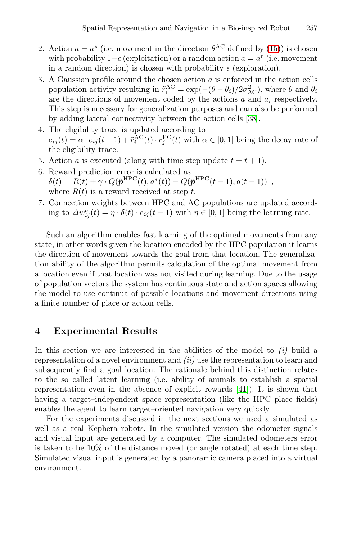- 2. Action  $a = a^*$  (i.e. movement in the direction  $\theta^{AC}$  defined by [\(15\)](#page-11-1)) is chosen with probability 1− $\epsilon$  (exploitation) or a random action  $a = a^r$  (i.e. movement in a random direction) is chosen with probability  $\epsilon$  (exploration).
- 3. A Gaussian profile around the chosen action a is enforced in the action cells population activity resulting in  $\tilde{r}_i^{\text{AC}} = \exp(-(\theta - \theta_i)/2\sigma_{\text{AC}}^2)$ , where  $\theta$  and  $\theta_i$ are the directions of movement coded by the actions  $a$  and  $a_i$  respectively. This step is necessary for generalization purposes and can also be performed by adding lateral connectivity between the action cells [\[38\]](#page-19-1).
- 4. The eligibility trace is updated according to  $e_{ij}(t) = \alpha \cdot e_{ij}(t-1) + \tilde{r}_i^{\text{AC}}(t) \cdot r_j^{\text{PC}}(t)$  with  $\alpha \in [0,1]$  being the decay rate of the eligibility trace.
- 5. Action *a* is executed (along with time step update  $t = t + 1$ ).
- 6. Reward prediction error is calculated as  $\delta(t) = R(t) + \gamma \cdot Q(\hat{\boldsymbol{p}}^{\text{HPC}}(t), a^*(t)) - Q(\hat{\boldsymbol{p}}^{\text{HPC}}(t-1), a(t-1))$ , where  $R(t)$  is a reward received at step t.
- 7. Connection weights between HPC and AC populations are updated according to  $\Delta w_{ij}^a(t) = \eta \cdot \delta(t) \cdot e_{ij}(t-1)$  with  $\eta \in [0,1]$  being the learning rate.

Such an algorithm enables fast learning of the optimal movements from any state, in other words given the location encoded by the HPC population it learns the direction of movement towards the goal from that location. The generalization ability of the algorithm permits calculation of the optimal movement from a location even if that location was not visited during learning. Due to the usage of population vectors the system has continuous state and action spaces allowing the model to use continua of possible locations and movement directions using a finite number of place or action cells.

#### <span id="page-12-0"></span>**4 Experimental Results**

In this section we are interested in the abilities of the model to *(i)* build a representation of a novel environment and *(ii)* use the representation to learn and subsequently find a goal location. The rationale behind this distinction relates to the so called latent learning (i.e. ability of animals to establish a spatial representation even in the absence of explicit rewards [\[41\]](#page-19-4)). It is shown that having a target–independent space representation (like the HPC place fields) enables the agent to learn target–oriented navigation very quickly.

For the experiments discussed in the next sections we used a simulated as well as a real Kephera robots. In the simulated version the odometer signals and visual input are generated by a computer. The simulated odometers error is taken to be 10% of the distance moved (or angle rotated) at each time step. Simulated visual input is generated by a panoramic camera placed into a virtual environment.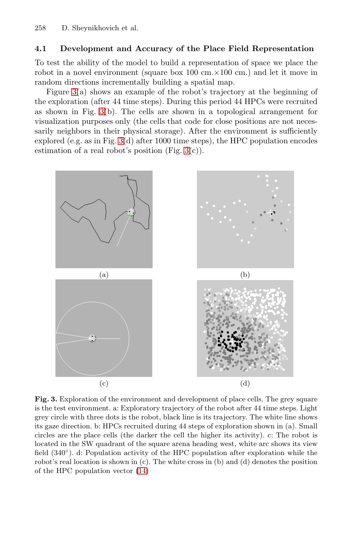#### **4.1 Development and Accuracy of the Place Field Representation**

To test the ability of the model to build a representation of space we place the robot in a novel environment (square box  $100 \text{ cm} \times 100 \text{ cm}$ .) and let it move in random directions incrementally building a spatial map.

Figure [3\(](#page-13-0)a) shows an example of the robot's trajectory at the beginning of the exploration (after 44 time steps). During this period 44 HPCs were recruited as shown in Fig. [3\(](#page-13-0)b). The cells are shown in a topological arrangement for visualization purposes only (the cells that code for close positions are not necessarily neighbors in their physical storage). After the environment is sufficiently explored (e.g. as in Fig. [3\(](#page-13-0)d) after 1000 time steps), the HPC population encodes estimation of a real robot's position (Fig. [3\(](#page-13-0)c)).



<span id="page-13-0"></span>**Fig. 3.** Exploration of the environment and development of place cells. The grey square is the test environment. a: Exploratory trajectory of the robot after 44 time steps. Light grey circle with three dots is the robot, black line is its trajectory. The white line shows its gaze direction. b: HPCs recruited during 44 steps of exploration shown in (a). Small circles are the place cells (the darker the cell the higher its activity). c: The robot is located in the SW quadrant of the square arena heading west, white arc shows its view field (340<sup>°</sup>). d: Population activity of the HPC population after exploration while the robot's real location is shown in (c). The white cross in (b) and (d) denotes the position of the HPC population vector [\(14\)](#page-11-0)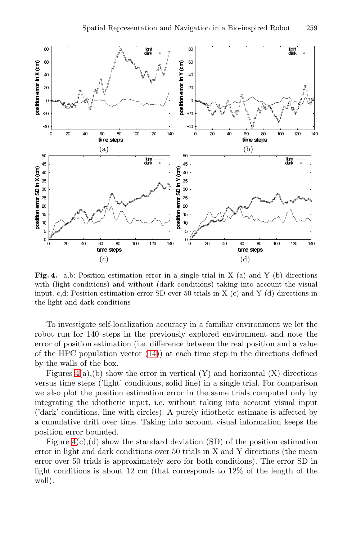

<span id="page-14-0"></span>**Fig. 4.** a,b: Position estimation error in a single trial in X (a) and Y (b) directions with (light conditions) and without (dark conditions) taking into account the visual input. c,d: Position estimation error SD over 50 trials in X (c) and Y (d) directions in the light and dark conditions

To investigate self-localization accuracy in a familiar environment we let the robot run for 140 steps in the previously explored environment and note the error of position estimation (i.e. difference between the real position and a value of the HPC population vector [\(14\)](#page-11-0)) at each time step in the directions defined by the walls of the box.

Figures  $4(a)$ , (b) show the error in vertical (Y) and horizontal (X) directions versus time steps ('light' conditions, solid line) in a single trial. For comparison we also plot the position estimation error in the same trials computed only by integrating the idiothetic input, i.e. without taking into account visual input ('dark' conditions, line with circles). A purely idiothetic estimate is affected by a cumulative drift over time. Taking into account visual information keeps the position error bounded.

Figure  $4(c)$ , (d) show the standard deviation (SD) of the position estimation error in light and dark conditions over 50 trials in X and Y directions (the mean error over 50 trials is approximately zero for both conditions). The error SD in light conditions is about 12 cm (that corresponds to 12% of the length of the wall).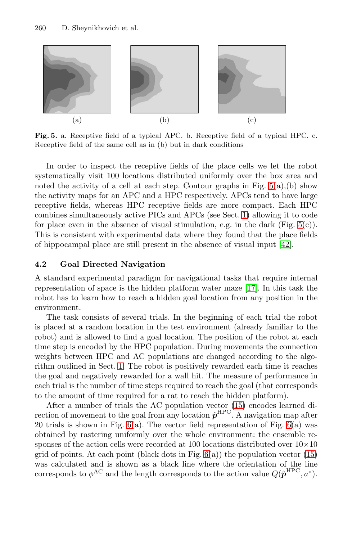

<span id="page-15-0"></span>**Fig. 5.** a. Receptive field of a typical APC. b. Receptive field of a typical HPC. c. Receptive field of the same cell as in (b) but in dark conditions

In order to inspect the receptive fields of the place cells we let the robot systematically visit 100 locations distributed uniformly over the box area and noted the activity of a cell at each step. Contour graphs in Fig.  $5(a)$ , (b) show the activity maps for an APC and a HPC respectively. APCs tend to have large receptive fields, whereas HPC receptive fields are more compact. Each HPC combines simultaneously active PICs and APCs (see Sect. [1\)](#page-10-2) allowing it to code for place even in the absence of visual stimulation, e.g. in the dark  $(Fig. 5(c))$  $(Fig. 5(c))$  $(Fig. 5(c))$ . This is consistent with experimental data where they found that the place fields of hippocampal place are still present in the absence of visual input [\[42\]](#page-19-5).

#### **4.2 Goal Directed Navigation**

A standard experimental paradigm for navigational tasks that require internal representation of space is the hidden platform water maze [\[17\]](#page-17-16). In this task the robot has to learn how to reach a hidden goal location from any position in the environment.

The task consists of several trials. In the beginning of each trial the robot is placed at a random location in the test environment (already familiar to the robot) and is allowed to find a goal location. The position of the robot at each time step is encoded by the HPC population. During movements the connection weights between HPC and AC populations are changed according to the algorithm outlined in Sect. [1.](#page-11-0) The robot is positively rewarded each time it reaches the goal and negatively rewarded for a wall hit. The measure of performance in each trial is the number of time steps required to reach the goal (that corresponds to the amount of time required for a rat to reach the hidden platform).

After a number of trials the AC population vector [\(15\)](#page-11-1) encodes learned direction of movement to the goal from any location  $\hat{p}^{\text{HPC}}$ . A navigation map after 20 trials is shown in Fig.  $6(a)$ . The vector field representation of Fig.  $6(a)$  was obtained by rastering uniformly over the whole environment: the ensemble responses of the action cells were recorded at 100 locations distributed over  $10\times10$ grid of points. At each point (black dots in Fig.  $6(a)$ ) the population vector [\(15\)](#page-11-1) was calculated and is shown as a black line where the orientation of the line corresponds to  $\phi^{AC}$  and the length corresponds to the action value  $Q(\hat{\boldsymbol{p}}^{\text{HPC}}, a^*)$ .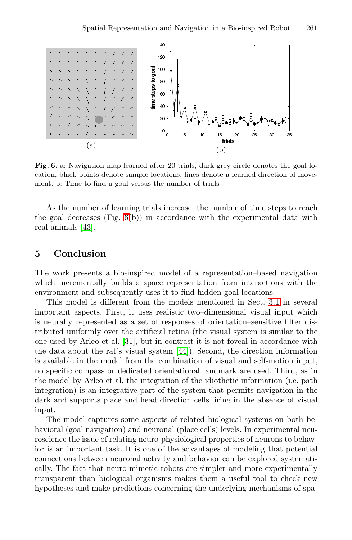

<span id="page-16-1"></span>**Fig. 6.** a: Navigation map learned after 20 trials, dark grey circle denotes the goal location, black points denote sample locations, lines denote a learned direction of movement. b: Time to find a goal versus the number of trials

As the number of learning trials increase, the number of time steps to reach the goal decreases (Fig. [6\(](#page-16-1)b)) in accordance with the experimental data with real animals [\[43\]](#page-19-6).

#### <span id="page-16-0"></span>**5 Conclusion**

The work presents a bio-inspired model of a representation–based navigation which incrementally builds a space representation from interactions with the environment and subsequently uses it to find hidden goal locations.

This model is different from the models mentioned in Sect. [3.1](#page-3-1) in several important aspects. First, it uses realistic two–dimensional visual input which is neurally represented as a set of responses of orientation–sensitive filter distributed uniformly over the artificial retina (the visual system is similar to the one used by Arleo et al. [\[31\]](#page-18-12), but in contrast it is not foveal in accordance with the data about the rat's visual system [\[44\]](#page-19-7)). Second, the direction information is available in the model from the combination of visual and self-motion input, no specific compass or dedicated orientational landmark are used. Third, as in the model by Arleo et al. the integration of the idiothetic information (i.e. path integration) is an integrative part of the system that permits navigation in the dark and supports place and head direction cells firing in the absence of visual input.

The model captures some aspects of related biological systems on both behavioral (goal navigation) and neuronal (place cells) levels. In experimental neuroscience the issue of relating neuro-physiological properties of neurons to behavior is an important task. It is one of the advantages of modeling that potential connections between neuronal activity and behavior can be explored systematically. The fact that neuro-mimetic robots are simpler and more experimentally transparent than biological organisms makes them a useful tool to check new hypotheses and make predictions concerning the underlying mechanisms of spa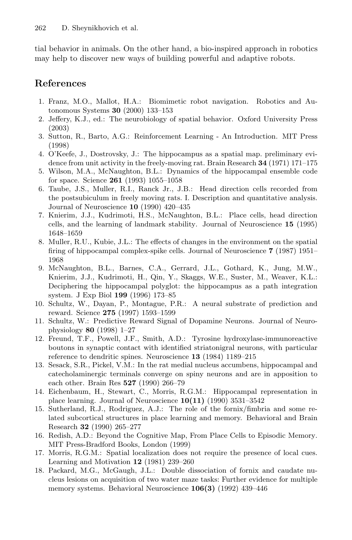tial behavior in animals. On the other hand, a bio-inspired approach in robotics may help to discover new ways of building powerful and adaptive robots.

# <span id="page-17-0"></span>**References**

- 1. Franz, M.O., Mallot, H.A.: Biomimetic robot navigation. Robotics and Autonomous Systems **30** (2000) 133–153
- <span id="page-17-1"></span>2. Jeffery, K.J., ed.: The neurobiology of spatial behavior. Oxford University Press (2003)
- <span id="page-17-2"></span>3. Sutton, R., Barto, A.G.: Reinforcement Learning - An Introduction. MIT Press (1998)
- <span id="page-17-3"></span>4. O'Keefe, J., Dostrovsky, J.: The hippocampus as a spatial map. preliminary evidence from unit activity in the freely-moving rat. Brain Research **34** (1971) 171–175
- <span id="page-17-4"></span>5. Wilson, M.A., McNaughton, B.L.: Dynamics of the hippocampal ensemble code for space. Science **261** (1993) 1055–1058
- <span id="page-17-5"></span>6. Taube, J.S., Muller, R.I., Ranck Jr., J.B.: Head direction cells recorded from the postsubiculum in freely moving rats. I. Description and quantitative analysis. Journal of Neuroscience **10** (1990) 420–435
- <span id="page-17-6"></span>7. Knierim, J.J., Kudrimoti, H.S., McNaughton, B.L.: Place cells, head direction cells, and the learning of landmark stability. Journal of Neuroscience **15** (1995) 1648–1659
- <span id="page-17-7"></span>8. Muller, R.U., Kubie, J.L.: The effects of changes in the environment on the spatial firing of hippocampal complex-spike cells. Journal of Neuroscience **7** (1987) 1951– 1968
- <span id="page-17-8"></span>9. McNaughton, B.L., Barnes, C.A., Gerrard, J.L., Gothard, K., Jung, M.W., Knierim, J.J., Kudrimoti, H., Qin, Y., Skaggs, W.E., Suster, M., Weaver, K.L.: Deciphering the hippocampal polyglot: the hippocampus as a path integration system. J Exp Biol **199** (1996) 173–85
- <span id="page-17-9"></span>10. Schultz, W., Dayan, P., Montague, P.R.: A neural substrate of prediction and reward. Science **275** (1997) 1593–1599
- <span id="page-17-10"></span>11. Schultz, W.: Predictive Reward Signal of Dopamine Neurons. Journal of Neurophysiology **80** (1998) 1–27
- <span id="page-17-11"></span>12. Freund, T.F., Powell, J.F., Smith, A.D.: Tyrosine hydroxylase-immunoreactive boutons in synaptic contact with identified striatonigral neurons, with particular reference to dendritic spines. Neuroscience **13** (1984) 1189–215
- <span id="page-17-12"></span>13. Sesack, S.R., Pickel, V.M.: In the rat medial nucleus accumbens, hippocampal and catecholaminergic terminals converge on spiny neurons and are in apposition to each other. Brain Res **527** (1990) 266–79
- <span id="page-17-13"></span>14. Eichenbaum, H., Stewart, C., Morris, R.G.M.: Hippocampal representation in place learning. Journal of Neuroscience **10(11)** (1990) 3531–3542
- <span id="page-17-14"></span>15. Sutherland, R.J., Rodriguez, A.J.: The role of the fornix/fimbria and some related subcortical structures in place learning and memory. Behavioral and Brain Research **32** (1990) 265–277
- <span id="page-17-15"></span>16. Redish, A.D.: Beyond the Cognitive Map, From Place Cells to Episodic Memory. MIT Press-Bradford Books, London (1999)
- <span id="page-17-16"></span>17. Morris, R.G.M.: Spatial localization does not require the presence of local cues. Learning and Motivation **12** (1981) 239–260
- <span id="page-17-17"></span>18. Packard, M.G., McGaugh, J.L.: Double dissociation of fornix and caudate nucleus lesions on acquisition of two water maze tasks: Further evidence for multiple memory systems. Behavioral Neuroscience **106(3)** (1992) 439–446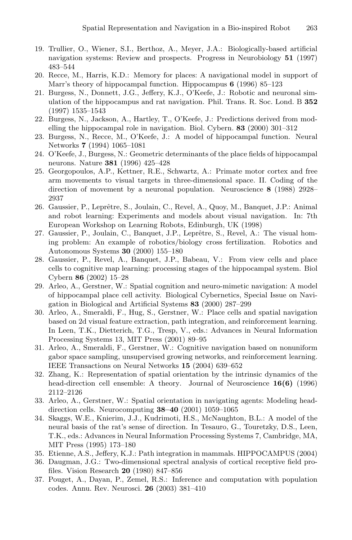- <span id="page-18-0"></span>19. Trullier, O., Wiener, S.I., Berthoz, A., Meyer, J.A.: Biologically-based artificial navigation systems: Review and prospects. Progress in Neurobiology **51** (1997) 483–544
- <span id="page-18-1"></span>20. Recce, M., Harris, K.D.: Memory for places: A navigational model in support of Marr's theory of hippocampal function. Hippocampus **6** (1996) 85–123
- <span id="page-18-2"></span>21. Burgess, N., Donnett, J.G., Jeffery, K.J., O'Keefe, J.: Robotic and neuronal simulation of the hippocampus and rat navigation. Phil. Trans. R. Soc. Lond. B **352** (1997) 1535–1543
- <span id="page-18-3"></span>22. Burgess, N., Jackson, A., Hartley, T., O'Keefe, J.: Predictions derived from modelling the hippocampal role in navigation. Biol. Cybern. **83** (2000) 301–312
- <span id="page-18-4"></span>23. Burgess, N., Recce, M., O'Keefe, J.: A model of hippocampal function. Neural Networks **7** (1994) 1065–1081
- <span id="page-18-5"></span>24. O'Keefe, J., Burgess, N.: Geometric determinants of the place fields of hippocampal neurons. Nature **381** (1996) 425–428
- <span id="page-18-6"></span>25. Georgopoulos, A.P., Kettner, R.E., Schwartz, A.: Primate motor cortex and free arm movements to visual targets in three-dimensional space. II. Coding of the direction of movement by a neuronal population. Neuroscience **8** (1988) 2928– 2937
- <span id="page-18-7"></span>26. Gaussier, P., Leprêtre, S., Joulain, C., Revel, A., Quoy, M., Banquet, J.P.: Animal and robot learning: Experiments and models about visual navigation. In: 7th European Workshop on Learning Robots, Edinburgh, UK (1998)
- <span id="page-18-8"></span>27. Gaussier, P., Joulain, C., Banquet, J.P., Leprêtre, S., Revel, A.: The visual homing problem: An example of robotics/biology cross fertilization. Robotics and Autonomous Systems **30** (2000) 155–180
- <span id="page-18-9"></span>28. Gaussier, P., Revel, A., Banquet, J.P., Babeau, V.: From view cells and place cells to cognitive map learning: processing stages of the hippocampal system. Biol Cybern **86** (2002) 15–28
- <span id="page-18-10"></span>29. Arleo, A., Gerstner, W.: Spatial cognition and neuro-mimetic navigation: A model of hippocampal place cell activity. Biological Cybernetics, Special Issue on Navigation in Biological and Artificial Systems **83** (2000) 287–299
- <span id="page-18-11"></span>30. Arleo, A., Smeraldi, F., Hug, S., Gerstner, W.: Place cells and spatial navigation based on 2d visual feature extraction, path integration, and reinforcement learning. In Leen, T.K., Dietterich, T.G., Tresp, V., eds.: Advances in Neural Information Processing Systems 13, MIT Press (2001) 89–95
- <span id="page-18-12"></span>31. Arleo, A., Smeraldi, F., Gerstner, W.: Cognitive navigation based on nonuniform gabor space sampling, unsupervised growing networks, and reinforcement learning. IEEE Transactions on Neural Networks **15** (2004) 639–652
- <span id="page-18-13"></span>32. Zhang, K.: Representation of spatial orientation by the intrinsic dynamics of the head-direction cell ensemble: A theory. Journal of Neuroscience **16(6)** (1996) 2112–2126
- <span id="page-18-14"></span>33. Arleo, A., Gerstner, W.: Spatial orientation in navigating agents: Modeling headdirection cells. Neurocomputing **38–40** (2001) 1059–1065
- <span id="page-18-15"></span>34. Skaggs, W.E., Knierim, J.J., Kudrimoti, H.S., McNaughton, B.L.: A model of the neural basis of the rat's sense of direction. In Tesauro, G., Touretzky, D.S., Leen, T.K., eds.: Advances in Neural Information Processing Systems 7, Cambridge, MA, MIT Press (1995) 173–180
- <span id="page-18-17"></span><span id="page-18-16"></span>35. Etienne, A.S., Jeffery, K.J.: Path integration in mammals. HIPPOCAMPUS (2004)
- 36. Daugman, J.G.: Two-dimensional spectral analysis of cortical receptive field profiles. Vision Research **20** (1980) 847–856
- <span id="page-18-18"></span>37. Pouget, A., Dayan, P., Zemel, R.S.: Inference and computation with population codes. Annu. Rev. Neurosci. **26** (2003) 381–410